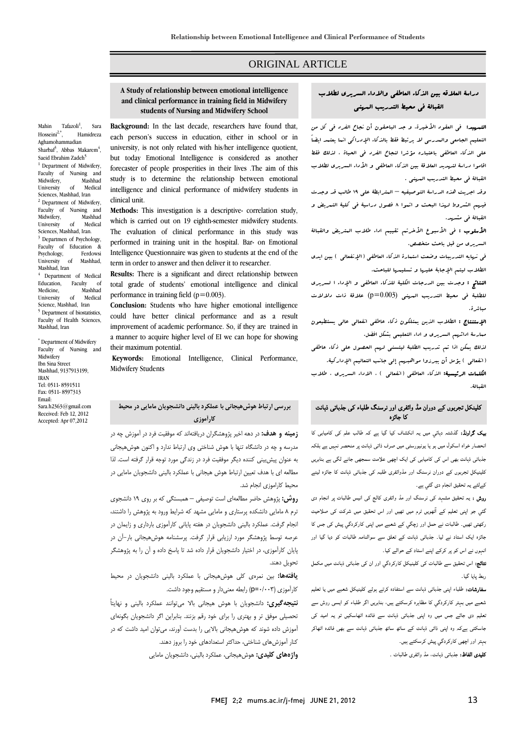## ORIGINAL ARTICLE

#### **A Study of relationship between emotional intelligence students of Nursing and Midwifery Schooland clinical performance in training field in Midwifery**

Ī  $\overline{a}$ 

Mahin Tafazoli<sup>1</sup>,<br>Hosseini<sup>2,\*</sup>,<br>Ha , Sara Hamidreza Aghamohammadian Sharbaf<sup>3</sup>, Abbas Makarem<sup>4</sup>, Saeid Ebrahim Zadeh<sup>5</sup> <sup>1</sup> Department of Midwifery, Faculty of Nursing and<br>Midwifery, Mashhad Midwifery, Mashhad<br>University of Medical University Sciences, Mashhad, Iran <sup>2</sup> Department of Midwifery Faculty of Nursing and Midwifery, University of Medical Sciences, Mashhad, Iran. <sup>3</sup> Departmen of Psychology, Faculty of Education & Psychology, Ferdowsi<br>University of Mashhad. University of Mashhad, Iran <sup>4</sup> Department of Medical Education, Faculty of<br>Medicine Mashhad Medicine, Mashhad<br>University of Medical **Medical** Science, Mashhad, Iran 5 Department of biostatistics, Faculty of Health Sciences, Mashhad, Iran

\* Department of Midwifery Faculty of Nursing and Midwifery Ibn Sina Street Mashhad, 9137913199, IRAN Tel: 0511- 8591511 Fax: 0511- 8597313 Email: Sara.h2363@gmail.com Received: Feb 12, 2012 Accepted: Apr 07,2012

 **Background:** In the last decade, researchers have found that, each person's success in education, either in school or in university, is not only related with his/her intelligence quotient, but today Emotional Intelligence is considered as another forecaster of people prosperities in their lives .The aim of this intelligence and clinical performance of midwifery students in study is to determine the relationship between emotional clinical unit.

 **Methods:** This investigation is a descriptive- correlation study, which is carried out on 19 eighth-semester midwifery students. The evaluation of clinical performance in this study was Intelligence Questionnaire was given to students at the end of the term in order to answer and then deliver it to researcher. performed in training unit in the hospital. Bar- on Emotional

 **Results:** There is a significant and direct relationship between total grade of students' emotional intelligence and clinical performance in training field  $(p=0.003)$ .

 **Conclusion:** Students who have higher emotional intelligence could have better clinical performance and as a result improvement of academic performance. So, if they are trained in a manner to acquire higher level of EI we can hope for showing  $\overline{\phantom{a}}$ their maximum potential.

 **Keywords:** Emotional Intelligence, Clinical Performance, Midwifery Students

# **بررسي ارتباط هوشهيجاني با عملكرد باليني دانشجويان مامايي در محيط كارآموزي**

 **زمينه و هدف:** در دهه اخير پژوهشگران دريافتهاند كه موفقيت فرد در آموزش چه در ر پست و در دانشگاه تنها با در دانشگاه تنها با در در دانشگاه تنها با در در دانشگاه تنها با هر در دانشگاه تنها ب<br>مدرسه و چه در دانشگاه تنها با هوش شناختی وی ارتباط ندارد و اکنون هوشهیجانی به عنوان پيشبيني كننده ديگر موفقيت فرد در زندگي مورد توجه قرار گرفته است. لذا .<br>مطالعه اي با هدف تعيين ارتباط هوش هيجاني با عملكرد باليني دانشجويان مامايي در محيط كاراموزي انجام شد.

 **روش:** پژوهش حاضر مطالعهاي است توصيفي – همبستگي كه بر روي 19 دانشجوي ر ر حسب برد كنده كر كر مستاري و مامايي مشهد كه شرايط ورود به پژوهش را داشتند،<br>ترم ۸ مامايي دانشكده پرستاري و مامايي مشهد كه شرايط ورود به پژوهش را داشتند، انجام گرفت. عملكرد باليني دانشجويان در هفته پاياني كارآموزي بارداري و زايمان در عرصه توسط پژوهشگر مورد ارزيابي قرار گرفت. پرسشنامه هوشهيجاني بار-آن در  $\overline{\phantom{a}}$ پايان كارآموزی، در اختيار دانشجويان قرار داده شد تا پاسخ داده و آن را به پژوهشگر<br>. تحويل دهند.

 **يافتهها:** بين نمرهي كلي هوشهيجاني با عملكرد باليني دانشجويان در محيط كارآموزي (p=۰/۰۰۳) رابطه معنىدار و مستقيم وجود داشت.<br>-

 **نتيجهگيري:** دانشجويان با هوش هيجاني بالا ميتوانند عملكرد باليني و نهايتاً تحصيلي موفق تر و بهتري را براي خود رقم بزنند. بنابراين اگر دانشجويان بگونهاي آموزش داده شوند كه هوشهيجاني بالايي را بدست آورند، ميتوان اميد داشت كه در كنار آموزشهاي شناختي، حداكثر استعدادهاي خود را بروز دهند.

**واژههاي كليدي:** هوشهيجاني، عملكرد باليني، دانشجويان مامايي

# دراسة العلاقه بين الذكاء العاطفي والاداء السريري لطلاب القبالة في محيط التدريب المهني

Ī  $\overline{a}$ 

التسمعيد: في العقود الأخيرة، و جد الباحقون أن نجاح الفرد في كل من التعليم الجامعي والمدرسي لا يرتبط فقط بالذكاء الإدراكي انما يعتمد ايضاً علي الذكاء العاطفي باعتباره مؤشرا لنجاح الفرد في الحياة ، لذلك فقط عاطوا كرامة للتهديد الفائدية بيين الد<br>القبالة في محيط التدريب المهني . Î. اقاموا دراسة لتهديد العلاقة بين الذكاء العاطفي و الأداء السريري لطلاب

وقد اجريت هذه الدراسة التوصيفيه – المترابطة على ١٩ طالب قد وجدت<br>. فيهم الشروط لهذا البحث و اتموا 8 فصول دراسية في كلية التمريض و القبالة في مشهد.

ا**لأسلوب :** ف<sub>ى</sub> الأسبوع الأخرتم تقييم اداء طلاب ال*متريض* والقبالة<br>. السريري من قبل باحث متخصص.

 في نهايه التدريبات وضعت استمارة الذكاء العاطفي (الإنفعالي ) بين ايدي الطلاب ليتم الإجابة عليها و تسليمها للباحث.

 النتائج : وجدت بين الدرجات الكلية للذكاء العاطفي و الإداء ا لسريري للطلبة في محيط التدريب المهني (0.003=p (علاقة ذات دلالات مباشرة.

ا**لإستنتاج :** الطلاب الذين يمتلكون ذكاء عاطفى انفعال<mark>ي عالي يستطيعون</mark> ممارسة ادائهم السريري و اداء التعليمي بشكل افضل.

 لذلك يمكن اذا تم تدريب الطلبة ليتسني لهم الحصول علي ذكاء عاطفي (انفعالي ) يؤمل أن يبرزوا مواهبهم إلي جانب التعاليم الإداركية.

ا**لكلمات الرئيسية:** الذكاء العاطفى (انفعال<sub>ى</sub> ) ، الاداء السريرى ، طلاب<br>. القبالة.

#### Ī کلینکل تجربوں کے دوران مڈ وائفری اور نرسنگ طلباء کی جذباتی ذہانت کا جائزہ

۔<br>**بیک گراونڈ:** گذشتہ دہائی میں یہ انکشاف کیا گیا ہے کہ طالب علم کی کامیابی کا انحصار خواہ اسکول میں ہو یا یونیورسٹی میں صرف ذاتی ذہانت پر منحصر نہیں ہے بلکہ جذباتی ذہانت بھی اس کی کامیابی کی ایک اچھی علامت سمجھی جانے لگی ہے بنابریں کلینیکل تجربوں کے دوران نرسنگ اور مڈوائفری طلبہ کی جذباتی ذہانت کا جائزہ لینے کےلئے یہ تحقیق انجام دی گئي ہے۔

 روش : یہ تحقیق مشہد کی نرسنگ اور مڈ وائفری کالج کی انیس طالبات پر انجام دی گئي جو اپنی تعلیم کے آٹھویں ٹرم میں تھیں اور اس تحقیق میں شرکت کی صلاحیت رکھتے ہیں۔ طالبات نے حمل اور زچگي کے شعبے میں اپنی کارکردگي پیش کی جس کا<br>رکھتی تھیں۔ طالبات نے حمل اور زچگي کے شعبے میں اپنی کارکردگي پیش کی جس کا جائزہ ایک استاد نے لیا۔ جذباتی ذہانت کے تعلق سے سوالنامہ طالبات کو دیا گيا اور انہوں نے اس کو پر کرکے اپنے استاد کے حوالے کیا۔

-<br>.. **نتائج:** اس تحقیق سے طالبات کی کلینیکل کارکردگي اور ان کی جذباتی ذہانت میں مکمل<br>مسمولیات ربط پایا گيا۔

سمبر<br>**سفارشات:** طلباء اپنی جذباتی ذہانت سے استفادہ کرتے ہوئے کلینیکل شعبے میں یا تعلیم شعبے میں بہتر کارکردگي کا مظاہرہ کرسکتے ہیں، بنابریں اگر طلباء کو ایسی روش سے سمیتے ہیں بہتر حرکر سی حسابوں مرتبہتے ہیں جنہویں مر حب سو نیسی رزس سے<br>تعلیم دی جائے جس میں وہ اپنی جذباتی ذہانت سے فائدہ اٹھاسکیں تو یہ امید کی Ĩ جاسکتی ہےکہ وہ اپنی ذاتی ذہانت کے ساتھ ساتھ جذباتی ذہانت سے بھی فائدہ اٹھاکر بہتر اور اچھی کارکردگي پیش کرسکتے ہیں۔

**کلیدی الفاظ:** جذباتی ذہانت، مڈ وائفری طالبات ۔<br>-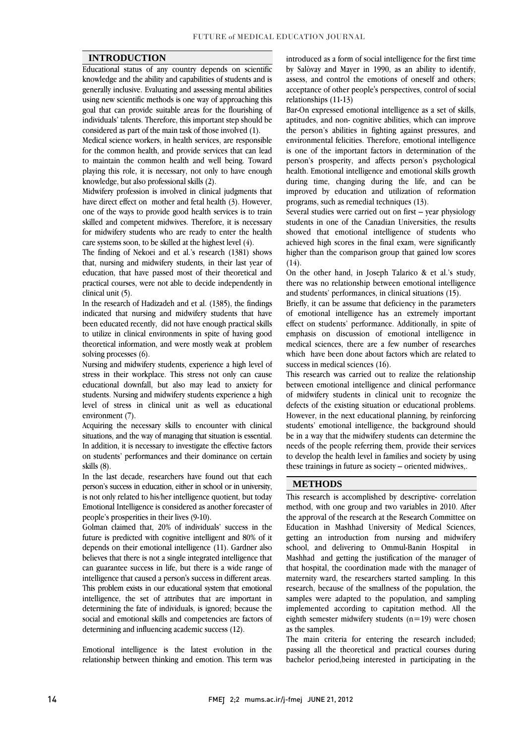#### **INTRODUCTION**

 Educational status of any country depends on scientific knowledge and the ability and capabilities of students and is using new scientific methods is one way of approaching this goal that can provide suitable areas for the flourishing of individuals' talents. Therefore, this important step should be generally inclusive. Evaluating and assessing mental abilities considered as part of the main task of those involved (1).

considered as part ot the main task ot those involved (1).<br>Medical science workers, in health services, are responsible for the common health, and provide services that can lead to maintain the common health and well being. Toward playing this role, it is necessary, not only to have enough knowledge, but also professional skills (2).

knowledge, but also protessional skills (2).<br>Midwifery profession is involved in clinical judgments that have direct effect on mother and fetal health (3). However, one of the ways to provide good health services is to train skilled and competent midwives. Therefore, it is necessary for midwifery students who are ready to enter the health care systems soon, to be skilled at the highest level (4).

The finding of Nekoei and et al.'s research  $(1381)$  shows that, nursing and midwifery students, in their last year of education, that have passed most of their theoretical and practical courses, were not able to decide independently in clinical unit (5).

In the research of Hadizadeh and et al. (1385), the findings indicated that nursing and midwifery students that have been educated recently, did not have enough practical skills to utilize in clinical environments in spite of having good<br>theoretical information, and were mostly weak at problem to utilize in clinical environments in spite of having good solving processes (6).

 Nursing and midwifery students, experience a high level of stress in their workplace. This stress not only can cause students. Nursing and midwifery students experience a high level of stress in clinical unit as well as educational educational downfall, but also may lead to anxiety for environment (7).

 Acquiring the necessary skills to encounter with clinical In addition, it is necessary to investigate the effective factors on students' performances and their dominance on certain situations, and the way of managing that situation is essential. skills (8).

 In the last decade, researchers have found out that each is not only related to his/her intelligence quotient, but today Emotional Intelligence is considered as another forecaster of person's success in education, either in school or in university, people's prosperities in their lives (9-10).

Golman claimed that, 20% of individuals' success in the depends on their emotional intelligence (11). Gardner also believes that there is not a single integrated intelligence that can guarantee success in life, but there is a wide range of miemgence mat caused a person's success in different areas.<br>This problem exists in our educational system that emotional intelligence, the set of attributes that are important in determining the fate of individuals, is ignored; because the social and emotional skills and competencies are factors of future is predicted with cognitive intelligent and 80% of it intelligence that caused a person's success in different areas. determining and influencing academic success (12).

 Emotional intelligence is the latest evolution in the relationship between thinking and emotion. This term was

 by Salòvay and Mayer in 1990, as an ability to identify, assess, and control the emotions of oneself and others; acceptance of other people's perspectives, control of social<br>relationships  $(11.13)$ introduced as a form of social intelligence for the first time relationships (11-13)

 Bar-On expressed emotional intelligence as a set of skills, aptitudes, and non- cognitive abilities, which can improve the person's abilities in fighting against pressures, and is one of the important factors in determination of the person's prosperity, and affects person's psychological health. Emotional intelligence and emotional skills growth during time, changing during the life, and can be improved by education and utilization of reformation environmental felicities. Therefore, emotional intelligence programs, such as remedial techniques (13).

 Several studies were carried out on first – year physiology students in one of the Canadian Universities, the results showed that emotional intelligence of students who higher than the comparison group that gained low scores achieved high scores in the final exam, were significantly  $(14)$ .

 On the other hand, in Joseph Talarico & et al.'s study, there was no relationship between emotional intelligence and students' performances, in clinical situations (15).

Briefly, it can be assume that deficiency in the parameters of emotional intelligence has an extremely important effect on students' performance. Additionally, in spite of medical sciences, there are a few number of researches which have been done about factors which are related to emphasis on discussion of emotional intelligence in success in medical sciences (16).

 This research was carried out to realize the relationship of midwifery students in clinical unit to recognize the defects of the existing situation or educational problems. However, in the next educational planning, by reinforcing students' emotional intelligence, the background should needs of the people referring them, provide their services to develop the health level in families and society by using between emotional intelligence and clinical performance be in a way that the midwifery students can determine the these trainings in future as society – oriented midwives,.

Ι

#### **METHODS**

 This research is accomplished by descriptive- correlation method, with one group and two variables in 2010. After the approval of the research at the Research Committee on getting an introduction from nursing and midwifery  $i<sub>n</sub>$  Mashhad and getting the justification of the manager of that hospital, the coordination made with the manager of research, because of the smallness of the population, the research, because of the smallness of the population, the samples were adapted to the population, and sampling implemented according to capitation method. All the eighth semester midwifery students  $(n=19)$  were chosen Education in Mashhad University of Medical Sciences, school, and delivering to Ommul-Banin Hospital maternity ward, the researchers started sampling. In this as the samples.

as the samples.<br>The main criteria for entering the research included; passing all the theoretical and practical courses during bachelor period,being interested in participating in the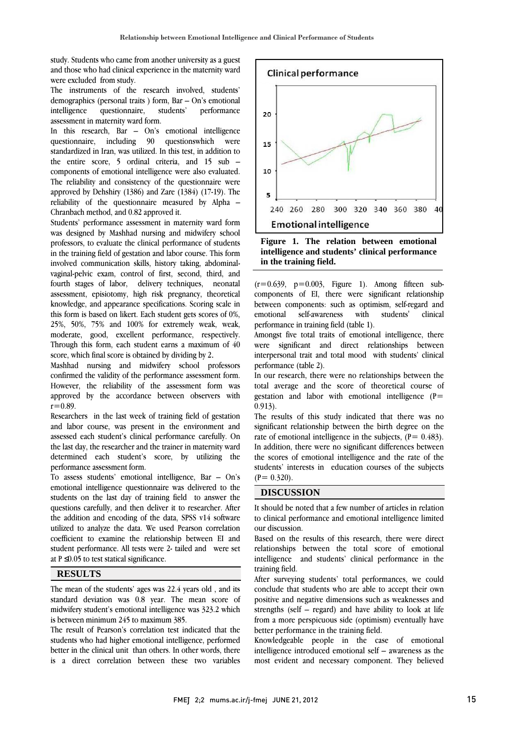study. Students who came from another university as a guest and those who had clinical experience in the maternity ward were excluded from study.

 The instruments of the research involved, students' performance demographics (personal traits ) form, Bar – On's emotional intelligence questionnaire, students' assessment in maternity ward form.

 In this research, Bar – On's emotional intelligence standardized in Iran, was utilized. In this test, in addition to the entire score, 5 ordinal criteria, and 15 sub – components of emotional intelligence were also evaluated. The reliability and consistency of the questionnaire were approved by Densing  $(1,00)$  and Earc  $(1,00)$   $(1,01)$ . The reliability of the questionnaire measured by Alpha – questionnaire, including 90 questionswhich were approved by Dehshiry (1386) and Zare (1384) (17-19). The Chranbach method, and 0.82 approved it.

 Students' performance assessment in maternity ward form was designed by Mashhad nursing and midwifery school in the training field of gestation and labor course. This form involved communication skills, history taking, abdominal- vaginal-pelvic exam, control of first, second, third, and fourth stages of labor, delivery techniques, neonatal knowledge, and appearance specifications. Scoring scale in this form is based on likert. Each student gets scores of 0%, 25%, 50%, 75% and 100% for extremely weak, weak, moderate, good, excellent performance, respectively.<br>Through this form, each student earns a maximum of 40 Î professors, to evaluate the clinical performance of students assessment, episiotomy, high risk pregnancy, theoretical moderate, good, excellent performance, respectively. score, which final score is obtained by dividing by 2.

 Mashhad nursing and midwifery school professors confirmed the validity of the performance assessment form. ہ<br>م approved by the accordance between observers with  $r=0.89$ However, the reliability of the assessment form was  $r=0.89$ .

 Researchers in the last week of training field of gestation and labor course, was present in the environment and assessed each student's chinear performance carefully. On<br>the last day, the researcher and the trainer in maternity ward determined each student's score, by utilizing the assessed each student's clinical performance carefully. On performance assessment form.

 To assess students' emotional intelligence, Bar – On's students on the last day of training field to answer the questions carefully, and then deliver it to researcher. After the addition and encoding of the data, SPSS v14 software utilized to analyze the data. We used Pearson correlation student performance. All tests were 2- tailed and were set emotional intelligence questionnaire was delivered to the coefficient to examine the relationship between EI and at  $P \leq 0.05$  to test statical significance.

## **RESULTS**

 The mean of the students' ages was 22.4 years old , and its standard deviation was 0.8 year. The mean score of midwifery student's emotional intelligence was 323.2 which is between minimum 245 to maximum 385.

 students who had higher emotional intelligence, performed better in the clinical unit than others. In other words, there is a direct correlation between these two variables The result of Pearson's correlation test indicated that the



 **Figure 1. The relation between emotional intelligence and students' clinical performance in the training field.** 

 $(r=0.639, p=0.003,$  Figure 1). Among fifteen sub- between components: such as optimism, self-regard and clinical components of EI, there were significant relationship emotional self-awareness with students' performance in training field (table 1).

Amongst live total traits of emotional intelligence, there<br>were significant and direct relationships between interpersonal trait and total mood with students' clinical Amongst five total traits of emotional intelligence, there performance (table 2).

 In our research, there were no relationships between the  $\alpha$  average and the score of theoretical course of gestation and labor with emotional intelligence ( $P=$ total average and the score of theoretical course of 0.913).

 The results of this study indicated that there was no significant relationship between the birth degree on the In addition, there were no significant differences between the scores of emotional intelligence and the rate of the students' interests in education courses of the subjects  $\overline{a}$ rate of emotional intelligence in the subjects,  $(P= 0.483)$ .  $(P= 0.320)$ .

## **DISCUSSION**

 It should be noted that a few number of articles in relation to clinical performance and emotional intelligence limited our discussion.

our discussion.<br>Based on the results of this research, there were direct relationships between the total score of emotional intelligence and students' clinical performance in the training field.

After surveying students' total performances, we could positive and negative dimensions such as weaknesses and strengths (self – regard) and have ability to look at life from a more perspicuous side (optimism) eventually have conclude that students who are able to accept their own better performance in the training field.

better performance in the training field.<br>Knowledgeable people in the case of emotional intelligence introduced emotional self – awareness as the most evident and necessary component. They believed

Ī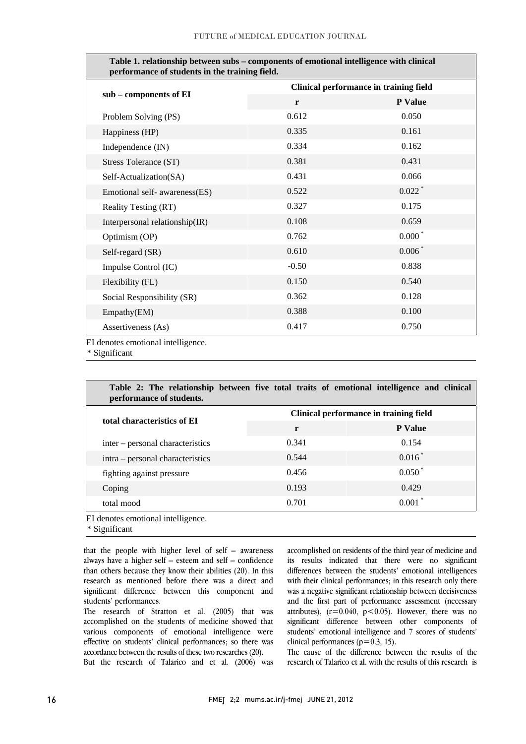| Table 1. relationship between subs – components of emotional intelligence with clinical<br>performance of students in the training field. |                                        |                      |  |
|-------------------------------------------------------------------------------------------------------------------------------------------|----------------------------------------|----------------------|--|
| sub - components of EI                                                                                                                    | Clinical performance in training field |                      |  |
|                                                                                                                                           | $\mathbf{r}$                           | P Value              |  |
| Problem Solving (PS)                                                                                                                      | 0.612                                  | 0.050                |  |
| Happiness (HP)                                                                                                                            | 0.335                                  | 0.161                |  |
| Independence (IN)                                                                                                                         | 0.334                                  | 0.162                |  |
| Stress Tolerance (ST)                                                                                                                     | 0.381                                  | 0.431                |  |
| Self-Actualization(SA)                                                                                                                    | 0.431                                  | 0.066                |  |
| Emotional self- awareness(ES)                                                                                                             | 0.522                                  | $0.022$ <sup>*</sup> |  |
| <b>Reality Testing (RT)</b>                                                                                                               | 0.327                                  | 0.175                |  |
| Interpersonal relationship(IR)                                                                                                            | 0.108                                  | 0.659                |  |
| Optimism (OP)                                                                                                                             | 0.762                                  | $0.000*$             |  |
| Self-regard (SR)                                                                                                                          | 0.610                                  | $0.006*$             |  |
| Impulse Control (IC)                                                                                                                      | $-0.50$                                | 0.838                |  |
| Flexibility (FL)                                                                                                                          | 0.150                                  | 0.540                |  |
| Social Responsibility (SR)                                                                                                                | 0.362                                  | 0.128                |  |
| Empathy(EM)                                                                                                                               | 0.388                                  | 0.100                |  |
| Assertiveness (As)                                                                                                                        | 0.417                                  | 0.750                |  |

EI denotes emotional intelligence.

\* Significant

| Table 2: The relationship between five total traits of emotional intelligence and clinical<br>performance of students. |                                        |                |  |
|------------------------------------------------------------------------------------------------------------------------|----------------------------------------|----------------|--|
| total characteristics of EI                                                                                            | Clinical performance in training field |                |  |
|                                                                                                                        | r                                      | <b>P</b> Value |  |
| inter – personal characteristics                                                                                       | 0.341                                  | 0.154          |  |
| intra – personal characteristics                                                                                       | 0.544                                  | $0.016*$       |  |
| fighting against pressure                                                                                              | 0.456                                  | $0.050*$       |  |
| Coping                                                                                                                 | 0.193                                  | 0.429          |  |
| total mood                                                                                                             | 0.701                                  | $0.001*$       |  |

 $\overline{a}$ 

Ξ

EI denotes emotional intelligence.

\* Significant

 that the people with higher level of self – awareness always have a higher self – esteem and self – confidence than others because they know their abilities (20). In this research as mentioned before there was a direct and significant difference between this component and<br>students' performances students' performances.

 The research of Stratton et al. (2005) that was accomplished on the students of medicine showed that various components of emotional intelligence were effective on students' clinical performances; so there was<br>accordance between the results of these two researches (20) But the research of Talarico and et al. (2006) was accordance between the results of these two researches (20).

 accomplished on residents of the third year of medicine and its results indicated that there were no significant differences between the students' emotional intelligences with their clinical performances; in this research only there was a negative significant relationship between decisiveness<br>and the first part of performance assessment (necessary attributes),  $(r=0.040, p<0.05)$ . However, there was no significant difference between other components of students' emotional intelligence and 7 scores of students' was a negative significant relationship between decisiveness clinical performances ( $p=0.3, 15$ ).

Ξ

The cause of the difference between the results of the research of Talarico et al. with the results of this research is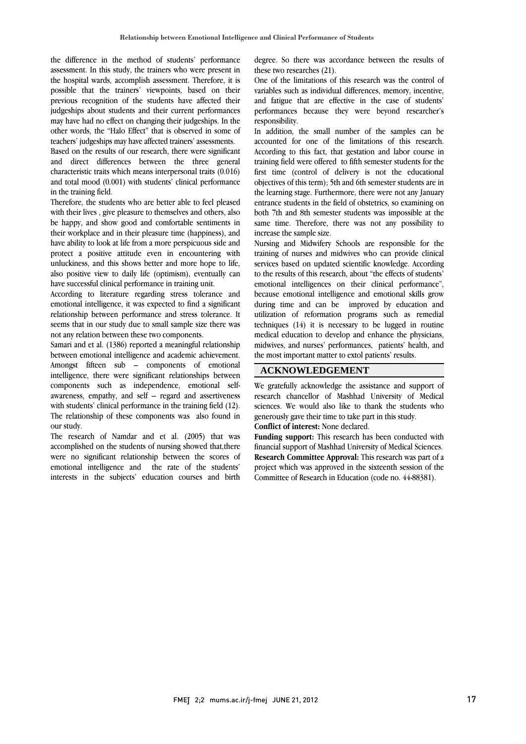the difference in the method of students' performance assessment. In this study, the trainers who were present in the hospital wards, accomplish assessment. Therefore, it is possible that the trainers' viewpoints, based on their judgeships about students and their current performances may have had no effect on changing their judgeships. In the other words, the "Halo Effect" that is observed in some of previous recognition of the students have affected their teachers' judgeships may have affected trainers' assessments.

reactiers judgesnips may have anected trainers assessments.<br>Based on the results of our research, there were significant and direct differences between the three general characteristic traits which means interpersonal traits (0.016) and total mood (0.001) with students' clinical performance in the training field.

 Therefore, the students who are better able to feel pleased with their lives, give pleasure to themselves and others, also be happy, and show good and comfortable sentiments in their workplace and in their pleasure time (happiness), and protect a positive attitude even in encountering with unluckiness, and this shows better and more hope to life, also positive view to daily life (optimism), eventually can have ability to look at life from a more perspicuous side and have successful clinical performance in training unit.

nave successtui clinical pertormance in training unit.<br>According to literature regarding stress tolerance and emotional intelligence, it was expected to find a significant relationship between performance and stress tolerance. It seems that in our study due to small sample size there was not any relation between these two components.

not any relation between these two components.<br>Samari and et al. (1386) reported a meaningful relationship between emotional intelligence and academic achievement. Amongst fifteen sub – components of emotional intelligence, there were significant relationships between awareness, empathy, and self – regard and assertiveness while the training field (12). The relationship of these components was also found in components such as independence, emotional selfour study.

accomplished on the students of nursing showed that, there were no significant relationship between the scores of emotional intelligence and the rate of the students' interests in the subjects' education courses and birthThe research of Namdar and et al. (2005) that was

 degree. So there was accordance between the results of these two researches (21).

 One of the limitations of this research was the control of variables such as individual differences, memory, incentive, performances because they were beyond researcher's and fatigue that are effective in the case of students' responsibility.

 In addition, the small number of the samples can be accounted for one of the infinations of this research.<br>According to this fact, that gestation and labor course in training field were offered to fifth semester students for the first time (control of delivery is not the educational objectives of this term); 5th and 6th semester students are in entrance students in the field of obstetrics, so examining on both 7th and 8th semester students was impossible at the same time. Therefore, there was not any possibility to accounted for one of the limitations of this research. the learning stage. Furthermore, there were not any January increase the sample size.

increase the sample size.<br>Nursing and Midwifery Schools are responsible for the training of nurses and midwives who can provide clinical services based on updated scientific knowledge. According to the results of this research, about "the effects of students' emotional intelligences on their clinical performance", during time and can be improved by education and utilization of reformation programs such as remedial techniques (14) it is necessary to be lugged in routine medical education to develop and enhance the physicians, midwives, and nurses' performances, patients' health, and because emotional intelligence and emotional skills grow the most important matter to extol patients' results.

#### **ACKNOWLEDGEMENT**

We gratefully acknowledge the assistance and support of sciences. We would also like to thank the students who research chancellor of Mashhad University of Medical generously gave their time to take part in this study. **Conflict of interest:** None declared.

j  $\overline{a}$ 

 financial support of Mashhad University of Medical Sciences. **Research Committee Approval:** This research was part of a project which was approved in the sixteenth session of the **Funding support:** This research has been conducted with Committee of Research in Education (code no. 44-88381).